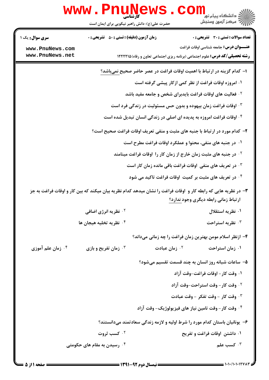|                                    | <b>www .</b> F<br>حضرت علی(ع): دانش راهبر نیکویی برای ایمان است |                           | د دانشگاه پيام نور<br>دانشگاه پيام نور<br>7- مرکز آزمون وسنجش                                                                                          |
|------------------------------------|-----------------------------------------------------------------|---------------------------|--------------------------------------------------------------------------------------------------------------------------------------------------------|
| <b>سری سوال :</b> یک ۱             | <b>زمان آزمون (دقیقه) : تستی : 50 ٪ تشریحی : 0</b>              |                           | <b>تعداد سوالات : تستی : 30 ٪ تشریحی : 0</b>                                                                                                           |
| www.PnuNews.com<br>www.PnuNews.net |                                                                 |                           | <b>عنـــوان درس:</b> جامعه شناسی اوقات فراغت<br><b>رشته تحصیلی/کد درس:</b> علوم اجتماعی (برنامه ریزی اجتماعی تعاون و رفاه) ۱۲۲۲۲۱۵                     |
|                                    |                                                                 |                           | ا– کدام گزینه در ارتباط با اهمیت اوقات فراغت در عصر حاضر صحیح نمیباشد؟                                                                                 |
|                                    |                                                                 |                           | ۰۱ امروزه اوقات فراغت از نظر کمی ازکار پیشی گرفته است                                                                                                  |
|                                    |                                                                 |                           | <sup>۲</sup> ۰ فعالیت های اوقات فراغت بایدبرای شخص و جامعه مفید باشد                                                                                   |
|                                    |                                                                 |                           | ۰۳ اوقات فراغت زمان بیهوده و بدون حس مسئولیت در زندگی فرد است                                                                                          |
|                                    |                                                                 |                           | ۰۴ اوقات فراغت امروزه به پدیده ای اصلی در زندگی انسان تبدیل شده است                                                                                    |
|                                    |                                                                 |                           | ۲- کدام مورد در ارتباط با جنبه های مثبت و منفی تعریف اوقات فراغت صحیح است؟                                                                             |
|                                    |                                                                 |                           | ۰۱ در جنبه های منفی، محتوا و عملکرد اوقات فراغت مطرح است                                                                                               |
|                                    |                                                                 |                           | <sup>۲ .</sup> در جنبه های مثبت زمان خارج از زمان کار را اوقات فراغت مینامند                                                                           |
|                                    |                                                                 |                           | ۰ <sup>۳ .</sup> در تعریف های منفی  اوقات فراغت باقی مانده زمان کار است                                                                                |
|                                    |                                                                 |                           | ۰ <sup>۴</sup> در تعریف های مثبت بر کمیت اوقات فراغت تاکید می شود                                                                                      |
|                                    |                                                                 |                           | ۳- در نظریه هایی که رابطه کار و آوقات فراغت را نشان میدهد کدام نظریه بیان میکند که بین کار و اوقات فراغت به جز<br>ارتباط زماني رابطه ديگري وجود ندارد؟ |
|                                    | <b>10 نظریه انرژی اضافی</b>                                     |                           | ۰۱ نظریه استقلال                                                                                                                                       |
|                                    | ۰۴ نظریه تخلیه هیجان ها                                         |                           | ۰۳ نظریه استراحت                                                                                                                                       |
|                                    |                                                                 |                           | ۴– ازنظر اسلام مومن بهترین زمان فراغت را چه زمانی میداند؟                                                                                              |
| ۰ <sup>۴</sup> زمان علم آموزی      | <b>4 . زمان تفریح و بازی</b>                                    | ۰ <sup>۲</sup> زمان عبادت | ۰۱ زمان استراحت                                                                                                                                        |
|                                    |                                                                 |                           | ۵– ساعات شبانه روز انسان به چند قسمت تقسیم میشود؟                                                                                                      |
|                                    |                                                                 |                           | ۰۱ وقت کار – اوقات فراغت-وقت آزاد                                                                                                                      |
|                                    |                                                                 |                           | ۰۲ وقت کار – وقت استراحت-وقت آزاد                                                                                                                      |
|                                    |                                                                 |                           | ۰۳ وقت کار - وقت تفکر - وقت عبادت                                                                                                                      |
|                                    |                                                                 |                           | ۰۴ وقت کار – وقت تامین نیاز های فیزیولوژیک – وقت آزاد                                                                                                  |
|                                    |                                                                 |                           | ۶– یونانیان باستان کدام مورد را شرط اولیه و لازمه زندگی سعادتمند میدانستند؟                                                                            |
|                                    | <b>10 كسب ثروت</b>                                              |                           | ۰۱ داشتن اوقات فراغت و تفریح                                                                                                                           |
|                                    | ۰۴ رسیدن به مقام های حکومتی                                     |                           | کسب علم $\cdot$                                                                                                                                        |
|                                    |                                                                 |                           |                                                                                                                                                        |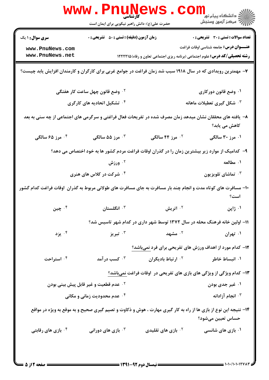|                                                                                                                            | <b>WWW.PNUNET</b><br><b>کارشناسی</b><br>حضرت علی(ع): دانش راهبر نیکویی برای ایمان است                           |                                | ري دانشڪاه پيام نور <mark>− 1</mark><br>/7 مرکز آزمون وسنڊش                       |
|----------------------------------------------------------------------------------------------------------------------------|-----------------------------------------------------------------------------------------------------------------|--------------------------------|-----------------------------------------------------------------------------------|
| <b>سری سوال :</b> ۱ یک                                                                                                     | <b>زمان آزمون (دقیقه) : تستی : 50 ٪ تشریحی : 0</b>                                                              |                                | <b>تعداد سوالات : تستی : 30 ٪ تشریحی : 0</b>                                      |
| www.PnuNews.com                                                                                                            |                                                                                                                 |                                | <b>عنـــوان درس:</b> جامعه شناسی اوقات فراغت                                      |
| www.PnuNews.net                                                                                                            |                                                                                                                 |                                | <b>رشته تحصیلی/کد درس:</b> علوم اجتماعی (برنامه ریزی اجتماعی تعاون و رفاه)۱۲۲۲۲۱۵ |
| ۷- مهمترین رویدادی که در سال ۱۹۱۸ سبب شد زمان فراغت در جوامع غربی برای کارگران و کارمندان افزایش یابد چیست؟                |                                                                                                                 |                                |                                                                                   |
|                                                                                                                            | <sup>۲</sup> ۰ وضع قانون چهل ساعت کار هفتگی                                                                     |                                | ۰۱ وضع قانون دورکاری                                                              |
|                                                                                                                            | ۰۴ تشکیل اتحادیه های کارگری                                                                                     |                                | ۰ <sup>۳</sup> شکل گیری تعطیلات ماهانه                                            |
| ۸– یافته های محققان نشان میدهد زمان مصرف شده در تفریحات فعال فراغتی و سرگرمی های اجتماعی از چه سنی به بعد<br>كاهش مى يابد؟ |                                                                                                                 |                                |                                                                                   |
| ۰۴ مرز ۶۵ سالگی                                                                                                            | ۰ <sup>۳</sup> مرز ۵۵ سالگی                                                                                     | <sup>۲.</sup> مرز ۴۴ سالگی     | ۰۱ مرز ۳۰ سالگی                                                                   |
|                                                                                                                            | ۹– کدامیک از موارد زیر بیشترین زمان را در گذران اوقات فراغت مردم کشور ها به خود اختصاص می دهد؟                  |                                |                                                                                   |
|                                                                                                                            | ورزش $\cdot$ ۲                                                                                                  |                                | ۰۱ مطالعه                                                                         |
|                                                                                                                            | ۰۴ شرکت در کلاس های هنری                                                                                        |                                | تماشای تلویزیون $\cdot^{\mathsf{\texttt{v}}}$                                     |
| ۱۰– مسافرت های کوتاه مدت و انجام چند بار مسافرت به جای مسافرت های طولانی مربوط به گذران  اوقات فراغت کدام گشور             |                                                                                                                 |                                | است؟                                                                              |
| ۰۴ چين                                                                                                                     | انگلستان $\cdot$                                                                                                | ۰ <sup>۲</sup> اتریش           | ۰۱ ژاپن                                                                           |
|                                                                                                                            |                                                                                                                 |                                | ۱۱– اولین خانه فرهنگ محله در سال ۱۳۷۲ توسط شهر داری در کدام شهر تاسیس شد؟         |
| ۰۴ يزد                                                                                                                     | تبريز $\cdot^{\mathsf{r}}$                                                                                      | ۰۲ مشهد                        | ۰۱ تهران                                                                          |
|                                                                                                                            |                                                                                                                 |                                | <b>۱۲</b> - کدام مورد از اهداف ورزش های تفریحی برای فرد نمیباشد؟                  |
| ۰۴ استراحت                                                                                                                 | کسب در آمد $\cdot$ "                                                                                            | ۰ <sup>۲</sup> ارتباط بادیگران | ۰۱ انبساط خاطر                                                                    |
|                                                                                                                            |                                                                                                                 |                                | ۱۳- کدام ویژگی از ویژگی های بازی های تفریحی در آوقات فراغت نمیباشد؟               |
|                                                                                                                            | <sup>۲ .</sup> عدم قطعیت و غیر قابل پیش بینی بودن                                                               |                                | ۰۱ غیر جدی بودن                                                                   |
|                                                                                                                            | ۰۴ عدم محدودیت زمانی و مکانی                                                                                    |                                | ۰۳ انجام آزادانه                                                                  |
|                                                                                                                            | ۱۴- نتیجه این نوع از بازی ها از راه به کار گیری مهارت ، هوش و ذکاوت و تصیم گیری صحیح و به موقع به ویژه در مواقع |                                | حساس تعيين ميشود؟                                                                 |
| ۰ <sup>۴</sup> بازی های رقابتی                                                                                             | بازی های دورانی $\cdot ^{\mathtt{w}}$                                                                           | بازی های تقلیدی $\cdot$ ۲      | ۰۱ بازی های شانسی                                                                 |
|                                                                                                                            |                                                                                                                 |                                |                                                                                   |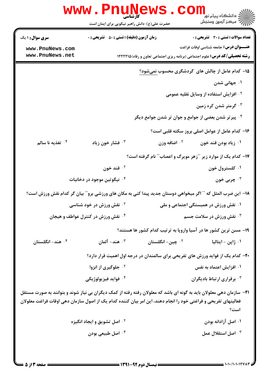|                                                                                                                                                                                                                                               | WWW.Pnuw<br>حضرت علی(ع): دانش راهبر نیکویی برای ایمان است |                         | دانشڪاه پيام نور¶<br>(⊂ مرڪز آزمون وسنڊش                                                                      |
|-----------------------------------------------------------------------------------------------------------------------------------------------------------------------------------------------------------------------------------------------|-----------------------------------------------------------|-------------------------|---------------------------------------------------------------------------------------------------------------|
| <b>سری سوال :</b> ۱ یک                                                                                                                                                                                                                        | <b>زمان آزمون (دقیقه) : تستی : 50 ٪ تشریحی : 0</b>        |                         | تعداد سوالات : تستي : 30 - تشريحي : 0                                                                         |
| www.PnuNews.com                                                                                                                                                                                                                               |                                                           |                         | <b>عنـــوان درس:</b> جامعه شناسی اوقات فراغت                                                                  |
| www.PnuNews.net                                                                                                                                                                                                                               |                                                           |                         | <b>رشته تحصیلی/کد درس:</b> علوم اجتماعی (برنامه ریزی اجتماعی تعاون و رفاه)۱۲۲۲۲۱۵                             |
|                                                                                                                                                                                                                                               |                                                           |                         | ۱۵– کدام عامل از چالش های گردشگری محسوب نمیشود؟                                                               |
|                                                                                                                                                                                                                                               |                                                           |                         | ۰۱ جهانی شدن                                                                                                  |
|                                                                                                                                                                                                                                               |                                                           |                         | <sup>۲</sup> ۰ افزایش استفاده از وسایل نقلیه عمومی                                                            |
|                                                                                                                                                                                                                                               |                                                           |                         | ۰ <sup>۳ گ</sup> رمتر شدن کره زمین                                                                            |
|                                                                                                                                                                                                                                               |                                                           |                         | ۰۴ پیرتر شدن بعضی از جوامع و جوان تر شدن جوامع دیگر                                                           |
|                                                                                                                                                                                                                                               |                                                           |                         | ۱۶– کدام عامل از عوامل اصلی بروز سکته قلبی است؟                                                               |
| ۰۴ تغذیه نا سالم                                                                                                                                                                                                                              | ۰ <sup>۳</sup> فشار خون زیاد                              | <b>10 اضافه وزن</b>     | ۰۱ زیاد بودن قند خون                                                                                          |
|                                                                                                                                                                                                                                               |                                                           |                         | ۱۷- کدام یک از موارد زیر "آزهر مویرگ و اعصاب"" نام گرفته است؟                                                 |
|                                                                                                                                                                                                                                               | ۰۲ قند خون                                                |                         | ۰۱ کلسترول خون                                                                                                |
| ۰۴ نیگوتین موجود در دخانیات                                                                                                                                                                                                                   |                                                           |                         | ۰۳ چربي خون                                                                                                   |
|                                                                                                                                                                                                                                               |                                                           |                         | ۱۸− این ضرب المثل که " ّ اگر میخواهی دوستان جدید پیدا کنی به مکان های ورزشی برو″ ّ بیان گر کدام نقش ورزش است؟ |
|                                                                                                                                                                                                                                               | <b>گ نقش ورزش در خود شناسی</b>                            |                         | ۰۱ نقش ورزش در همبستگی اجتماعی و ملی                                                                          |
|                                                                                                                                                                                                                                               | ۰۴ نقش ورزش در کنترل عواطف و هیجان                        |                         | نقش ورزش در سلامت جسم $\cdot$                                                                                 |
|                                                                                                                                                                                                                                               |                                                           |                         | ۱۹- مسن ترین کشور ها در آسیا واروپا به ترتیب کدام کشور ها هستند؟                                              |
| ۰ <sup>۴</sup> هند- انگلستان                                                                                                                                                                                                                  | شد- آلمان $\cdot$ "                                       | ن چين- انگلستان $\cdot$ | ۰۱ ژاپن – ایتالیا                                                                                             |
|                                                                                                                                                                                                                                               |                                                           |                         | ۲۰- کدام یک از فواید ورزش های تفریحی برای سالمندان در درجه اول اهمیت قرار دارد؟                               |
|                                                                                                                                                                                                                                               | <sup>۲ .</sup> جلوگیری از انزوا                           |                         | ۰۱ افزایش اعتماد به نفس                                                                                       |
|                                                                                                                                                                                                                                               | ۰ <sup>۴</sup> فوايد فيزيولوژيكي                          |                         | ۰۳ برقراری ارتباط بادیگران                                                                                    |
| <b>۲۱</b> - سازمان دهی معلولان باید به گونه ای باشد که معلولان رفته رفته از کمک دیگران بی نیاز شوند و بتوانند به صورت مستقل<br>فعالیتهای تفریحی و فراغتی خود را انجام دهند، این امر بیان کننده کدام یک از اصول سازمان دهی اوقات فراغت معلولان |                                                           |                         | است؟                                                                                                          |
|                                                                                                                                                                                                                                               | <b>گ اصل تشویق و ایجاد انگیزه</b>                         |                         | ۰۱ اصل آزادانه بودن                                                                                           |
|                                                                                                                                                                                                                                               | ۰ <sup>۴</sup> اصل طبیعی بودن                             |                         | اصل استقلال عمل $\cdot$ "                                                                                     |
|                                                                                                                                                                                                                                               |                                                           |                         |                                                                                                               |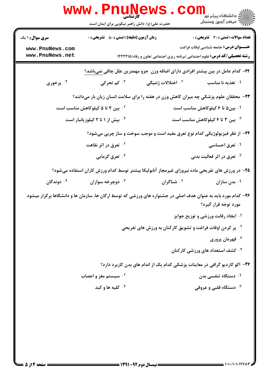|                                    | WWW . PI<br><b>1 U_IN (</b><br>کارشناسی<br>حضرت علی(ع): دانش راهبر نیکویی برای ایمان است |                                                                                                               | ر دانشڪاه پيام نور ■<br>// مرکز آزمون وسنڊش  |
|------------------------------------|------------------------------------------------------------------------------------------|---------------------------------------------------------------------------------------------------------------|----------------------------------------------|
| <b>سری سوال : ۱ یک</b>             | <b>زمان آزمون (دقیقه) : تستی : 50 ٪ تشریحی : 0</b>                                       |                                                                                                               | <b>تعداد سوالات : تستی : 30 ٪ تشریحی : 0</b> |
| www.PnuNews.com<br>www.PnuNews.net |                                                                                          | <b>رشته تحصیلی/کد درس:</b> علوم اجتماعی (برنامه ریزی اجتماعی تعاون و رفاه) ۱۲۲۲۲۱۵                            | <b>عنـــوان درس:</b> جامعه شناسی اوقات فراغت |
|                                    |                                                                                          | <b>۲۲</b> – کدام عامل در بین بیشتر افرادی دارای اضافه وزن  جزو مهمترین علل چاقی نمیباشد؟                      |                                              |
| ۰۴ پرخوری                          | ۰ <sup>۳</sup> کم تحرکی                                                                  | ۰ <sup>۲</sup> اختلالات ژنتیگی                                                                                | ۰۱ تغذیه نا مناسب                            |
|                                    |                                                                                          | ۲۳- محققان علوم پزشکی چه میزان کاهش وزن در هفته را برای سلامت انسان زیان بار میدانند؟                         |                                              |
|                                    | ۰۲ بین ۴ تا ۵ کیلوکاهش مناسب است                                                         |                                                                                                               | ۰۱ بین۵ تا ۶ کیلوکاهش مناسب است              |
|                                    | ۰۴ بیش از ۱ تا ۲ کیلوزیانبار است                                                         |                                                                                                               | ۰۳ بین ۳ تا ۴ کیلوکاهش مناسب است             |
|                                    |                                                                                          | ۲۴- از نظر فیزیولوژیکی کدام نوع تعرق مفید است و موجب سوخت و ساز چربی میشود؟                                   |                                              |
|                                    | <sup>۰۲</sup> تعرق در اثر نقاهت                                                          |                                                                                                               | ۰۱ تعرق احساسی                               |
|                                    | ۰۴ تعرق گرمایی                                                                           |                                                                                                               | ۰ <sup>۳</sup> تعرق در اثر فعالیت بدنی       |
|                                    |                                                                                          | ۲۵– در ورزش های تفریحی ماده نیروزای غیرمجاز آنابولیکا بیشتر توسط کدام ورزش کاران استفاده میشود؟               |                                              |
| ۰۴ دوندگان                         | دوچرخه سواران $\cdot^{\mathsf{v}}$                                                       | ۰ <sup>۲</sup> شناگران                                                                                        | ۰۱ بدن سازان                                 |
|                                    |                                                                                          | ۲۶– کدام مورد باید به عنوان هدف اصلی در جشنواره های ورزشی که توسط ارگان ها، سازمان ها و دانشگاها برگزار میشود | مورد توجه قرار گیرد؟                         |
|                                    |                                                                                          |                                                                                                               | ۰۱ ایجاد رقابت ورزشی و توزیع جوایز           |
|                                    |                                                                                          | <b>10 پر کردن اوقات فراغت و تشویق کارکنان به ورزش های تفریحی</b>                                              |                                              |
|                                    |                                                                                          |                                                                                                               | ۰۳ قهرمان پروري                              |
|                                    |                                                                                          |                                                                                                               | ۰۴ کشف استعداد های ورزشی کارکنان             |
|                                    |                                                                                          | ۲۷– اکو کاردیو گرافی در معاینات پزشکی کدام یک از اندام های بدن کاربرد دارد؟                                   |                                              |
|                                    | <sup>۲ .</sup> سیستم مغز و اعصاب                                                         |                                                                                                               | ۰۱ دستگاه تنفس <i>ی</i> بدن                  |
|                                    | ۰۴ کلیه ها و کبد                                                                         |                                                                                                               | ۰۳ دستگاه قلبی و عروقی                       |
|                                    |                                                                                          |                                                                                                               |                                              |
|                                    |                                                                                          |                                                                                                               |                                              |
|                                    |                                                                                          |                                                                                                               |                                              |
|                                    |                                                                                          |                                                                                                               |                                              |